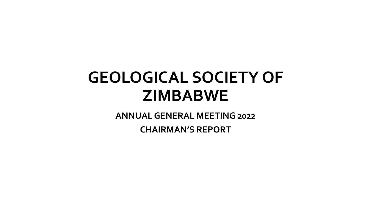## **GEOLOGICAL SOCIETY OF ZIMBABWE**

**ANNUAL GENERAL MEETING 2022**

**CHAIRMAN'S REPORT**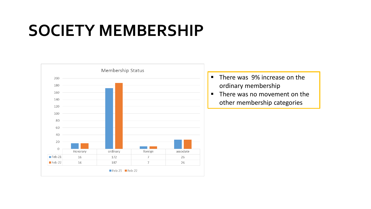## **SOCIETY MEMBERSHIP**



- There was 9% increase on the ordinary membership
- There was no movement on the other membership categories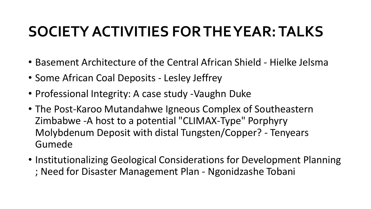### **SOCIETY ACTIVITIES FOR THE YEAR: TALKS**

- Basement Architecture of the Central African Shield Hielke Jelsma
- Some African Coal Deposits Lesley Jeffrey
- Professional Integrity: A case study -Vaughn Duke
- The Post-Karoo Mutandahwe Igneous Complex of Southeastern Zimbabwe -A host to a potential "CLIMAX-Type" Porphyry Molybdenum Deposit with distal Tungsten/Copper? - Tenyears Gumede
- Institutionalizing Geological Considerations for Development Planning ; Need for Disaster Management Plan - Ngonidzashe Tobani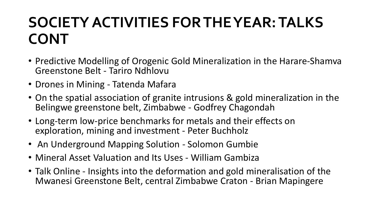## **SOCIETY ACTIVITIES FOR THE YEAR: TALKS CONT**

- Predictive Modelling of Orogenic Gold Mineralization in the Harare-Shamva Greenstone Belt - Tariro Ndhlovu
- Drones in Mining Tatenda Mafara
- On the spatial association of granite intrusions & gold mineralization in the Belingwe greenstone belt, Zimbabwe - Godfrey Chagondah
- Long-term low-price benchmarks for metals and their effects on exploration, mining and investment - Peter Buchholz
- An Underground Mapping Solution Solomon Gumbie
- Mineral Asset Valuation and Its Uses William Gambiza
- Talk Online Insights into the deformation and gold mineralisation of the Mwanesi Greenstone Belt, central Zimbabwe Craton - Brian Mapingere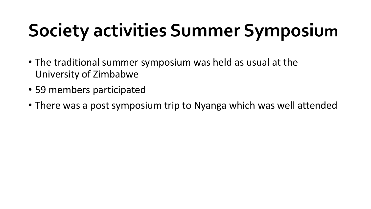# **Society activities Summer Symposium**

- The traditional summer symposium was held as usual at the University of Zimbabwe
- 59 members participated
- There was a post symposium trip to Nyanga which was well attended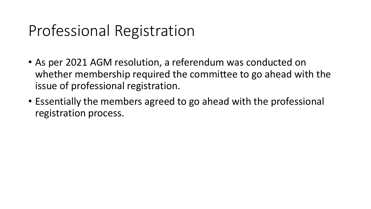### Professional Registration

- As per 2021 AGM resolution, a referendum was conducted on whether membership required the committee to go ahead with the issue of professional registration.
- Essentially the members agreed to go ahead with the professional registration process.